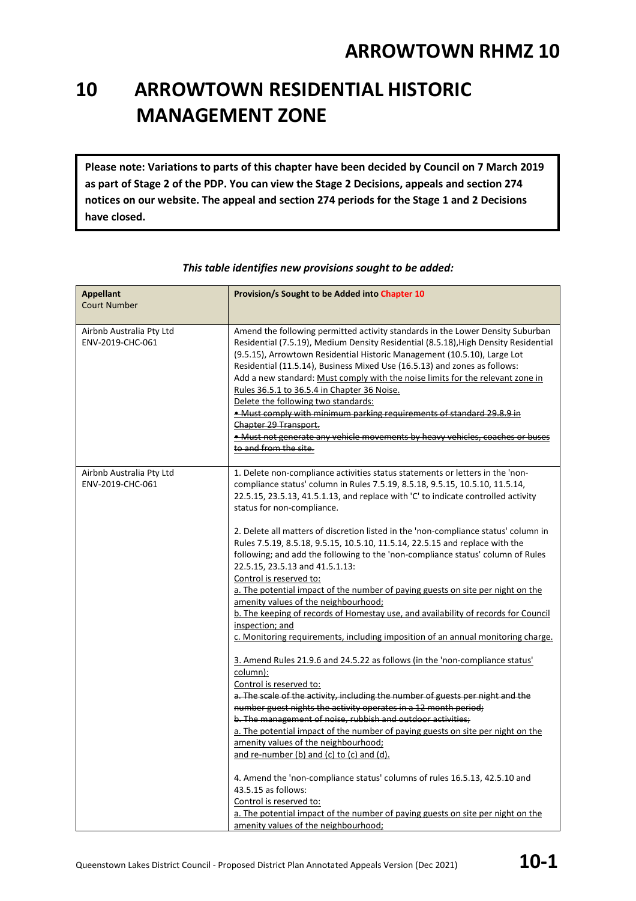# **10 ARROWTOWN RESIDENTIAL HISTORIC MANAGEMENT ZONE**

**Please note: Variations to parts of this chapter have been decided by Council on 7 March 2019 as part of Stage 2 of the PDP. You can view the Stage 2 Decisions, appeals and section 274 notices on our website. The appeal and section 274 periods for the Stage 1 and 2 Decisions have closed.**

| <b>Appellant</b><br><b>Court Number</b>      | Provision/s Sought to be Added into Chapter 10                                                                                                                                                                                                                                                                                                                                                                                                                                                                                                                                                                                                                                                                                                                                                                                                                                                                                                                                                                                                                                                                                                                                                                                                                                                                                                                                                                                                                                                                                                                                                                                                                                                                 |
|----------------------------------------------|----------------------------------------------------------------------------------------------------------------------------------------------------------------------------------------------------------------------------------------------------------------------------------------------------------------------------------------------------------------------------------------------------------------------------------------------------------------------------------------------------------------------------------------------------------------------------------------------------------------------------------------------------------------------------------------------------------------------------------------------------------------------------------------------------------------------------------------------------------------------------------------------------------------------------------------------------------------------------------------------------------------------------------------------------------------------------------------------------------------------------------------------------------------------------------------------------------------------------------------------------------------------------------------------------------------------------------------------------------------------------------------------------------------------------------------------------------------------------------------------------------------------------------------------------------------------------------------------------------------------------------------------------------------------------------------------------------------|
| Airbnb Australia Pty Ltd<br>ENV-2019-CHC-061 | Amend the following permitted activity standards in the Lower Density Suburban<br>Residential (7.5.19), Medium Density Residential (8.5.18), High Density Residential<br>(9.5.15), Arrowtown Residential Historic Management (10.5.10), Large Lot<br>Residential (11.5.14), Business Mixed Use (16.5.13) and zones as follows:<br>Add a new standard: Must comply with the noise limits for the relevant zone in<br>Rules 36.5.1 to 36.5.4 in Chapter 36 Noise.<br>Delete the following two standards:<br>. Must comply with minimum parking requirements of standard 29.8.9 in<br>Chapter 29 Transport.<br>• Must not generate any vehicle movements by heavy vehicles, coaches or buses<br>to and from the site.                                                                                                                                                                                                                                                                                                                                                                                                                                                                                                                                                                                                                                                                                                                                                                                                                                                                                                                                                                                             |
| Airbnb Australia Pty Ltd<br>ENV-2019-CHC-061 | 1. Delete non-compliance activities status statements or letters in the 'non-<br>compliance status' column in Rules 7.5.19, 8.5.18, 9.5.15, 10.5.10, 11.5.14,<br>22.5.15, 23.5.13, 41.5.1.13, and replace with 'C' to indicate controlled activity<br>status for non-compliance.<br>2. Delete all matters of discretion listed in the 'non-compliance status' column in<br>Rules 7.5.19, 8.5.18, 9.5.15, 10.5.10, 11.5.14, 22.5.15 and replace with the<br>following; and add the following to the 'non-compliance status' column of Rules<br>22.5.15, 23.5.13 and 41.5.1.13:<br>Control is reserved to:<br>a. The potential impact of the number of paying guests on site per night on the<br>amenity values of the neighbourhood;<br>b. The keeping of records of Homestay use, and availability of records for Council<br>inspection; and<br>c. Monitoring requirements, including imposition of an annual monitoring charge.<br>3. Amend Rules 21.9.6 and 24.5.22 as follows (in the 'non-compliance status'<br>column):<br>Control is reserved to:<br>a. The scale of the activity, including the number of guests per night and the<br>number guest nights the activity operates in a 12 month period;<br>b. The management of noise, rubbish and outdoor activities;<br>a. The potential impact of the number of paying guests on site per night on the<br>amenity values of the neighbourhood;<br>and re-number (b) and (c) to (c) and (d).<br>4. Amend the 'non-compliance status' columns of rules 16.5.13, 42.5.10 and<br>43.5.15 as follows:<br>Control is reserved to:<br>a. The potential impact of the number of paying guests on site per night on the<br>amenity values of the neighbourhood; |

#### *This table identifies new provisions sought to be added:*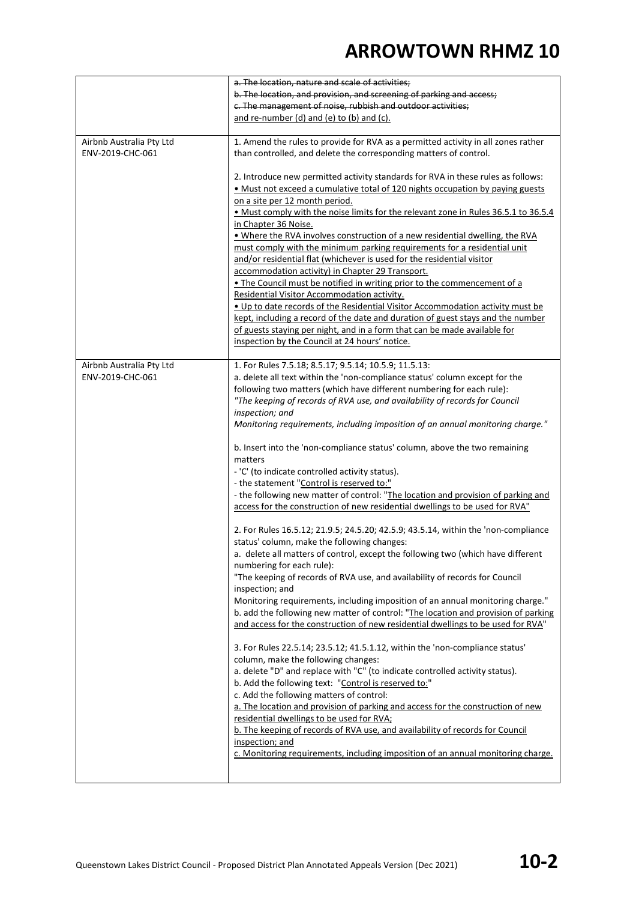|                                              | a. The location, nature and scale of activities;                                                                                                                                                                                                                                                                                                                                                                                                                                                                                                                                                                                                                                                                                                                                                                                                                                                                                                                                                                                                                                                                                                                                                                                                                                                                                                                                                                                                                                                                                                                                                                                                                                                                                                                                                                                                                                                                                                                                                                       |
|----------------------------------------------|------------------------------------------------------------------------------------------------------------------------------------------------------------------------------------------------------------------------------------------------------------------------------------------------------------------------------------------------------------------------------------------------------------------------------------------------------------------------------------------------------------------------------------------------------------------------------------------------------------------------------------------------------------------------------------------------------------------------------------------------------------------------------------------------------------------------------------------------------------------------------------------------------------------------------------------------------------------------------------------------------------------------------------------------------------------------------------------------------------------------------------------------------------------------------------------------------------------------------------------------------------------------------------------------------------------------------------------------------------------------------------------------------------------------------------------------------------------------------------------------------------------------------------------------------------------------------------------------------------------------------------------------------------------------------------------------------------------------------------------------------------------------------------------------------------------------------------------------------------------------------------------------------------------------------------------------------------------------------------------------------------------------|
|                                              | b. The location, and provision, and screening of parking and access;                                                                                                                                                                                                                                                                                                                                                                                                                                                                                                                                                                                                                                                                                                                                                                                                                                                                                                                                                                                                                                                                                                                                                                                                                                                                                                                                                                                                                                                                                                                                                                                                                                                                                                                                                                                                                                                                                                                                                   |
|                                              | c. The management of noise, rubbish and outdoor activities;                                                                                                                                                                                                                                                                                                                                                                                                                                                                                                                                                                                                                                                                                                                                                                                                                                                                                                                                                                                                                                                                                                                                                                                                                                                                                                                                                                                                                                                                                                                                                                                                                                                                                                                                                                                                                                                                                                                                                            |
|                                              | and re-number (d) and (e) to (b) and (c).                                                                                                                                                                                                                                                                                                                                                                                                                                                                                                                                                                                                                                                                                                                                                                                                                                                                                                                                                                                                                                                                                                                                                                                                                                                                                                                                                                                                                                                                                                                                                                                                                                                                                                                                                                                                                                                                                                                                                                              |
| Airbnb Australia Pty Ltd<br>ENV-2019-CHC-061 | 1. Amend the rules to provide for RVA as a permitted activity in all zones rather<br>than controlled, and delete the corresponding matters of control.                                                                                                                                                                                                                                                                                                                                                                                                                                                                                                                                                                                                                                                                                                                                                                                                                                                                                                                                                                                                                                                                                                                                                                                                                                                                                                                                                                                                                                                                                                                                                                                                                                                                                                                                                                                                                                                                 |
|                                              | 2. Introduce new permitted activity standards for RVA in these rules as follows:<br>. Must not exceed a cumulative total of 120 nights occupation by paying guests<br>on a site per 12 month period.<br>. Must comply with the noise limits for the relevant zone in Rules 36.5.1 to 36.5.4<br>in Chapter 36 Noise.<br>. Where the RVA involves construction of a new residential dwelling, the RVA<br>must comply with the minimum parking requirements for a residential unit<br>and/or residential flat (whichever is used for the residential visitor<br>accommodation activity) in Chapter 29 Transport.<br>. The Council must be notified in writing prior to the commencement of a<br>Residential Visitor Accommodation activity.<br>. Up to date records of the Residential Visitor Accommodation activity must be<br>kept, including a record of the date and duration of guest stays and the number<br>of guests staying per night, and in a form that can be made available for                                                                                                                                                                                                                                                                                                                                                                                                                                                                                                                                                                                                                                                                                                                                                                                                                                                                                                                                                                                                                             |
|                                              | inspection by the Council at 24 hours' notice.                                                                                                                                                                                                                                                                                                                                                                                                                                                                                                                                                                                                                                                                                                                                                                                                                                                                                                                                                                                                                                                                                                                                                                                                                                                                                                                                                                                                                                                                                                                                                                                                                                                                                                                                                                                                                                                                                                                                                                         |
| Airbnb Australia Pty Ltd<br>ENV-2019-CHC-061 | 1. For Rules 7.5.18; 8.5.17; 9.5.14; 10.5.9; 11.5.13:<br>a. delete all text within the 'non-compliance status' column except for the<br>following two matters (which have different numbering for each rule):<br>"The keeping of records of RVA use, and availability of records for Council<br>inspection; and<br>Monitoring requirements, including imposition of an annual monitoring charge."<br>b. Insert into the 'non-compliance status' column, above the two remaining<br>matters<br>- 'C' (to indicate controlled activity status).<br>- the statement "Control is reserved to:"<br>- the following new matter of control: "The location and provision of parking and<br>access for the construction of new residential dwellings to be used for RVA"<br>2. For Rules 16.5.12; 21.9.5; 24.5.20; 42.5.9; 43.5.14, within the 'non-compliance<br>status' column, make the following changes:<br>a. delete all matters of control, except the following two (which have different<br>numbering for each rule):<br>"The keeping of records of RVA use, and availability of records for Council<br>inspection; and<br>Monitoring requirements, including imposition of an annual monitoring charge."<br>b. add the following new matter of control: "The location and provision of parking<br>and access for the construction of new residential dwellings to be used for RVA"<br>3. For Rules 22.5.14; 23.5.12; 41.5.1.12, within the 'non-compliance status'<br>column, make the following changes:<br>a. delete "D" and replace with "C" (to indicate controlled activity status).<br>b. Add the following text: "Control is reserved to:"<br>c. Add the following matters of control:<br>a. The location and provision of parking and access for the construction of new<br>residential dwellings to be used for RVA;<br>b. The keeping of records of RVA use, and availability of records for Council<br>inspection; and<br>c. Monitoring requirements, including imposition of an annual monitoring charge. |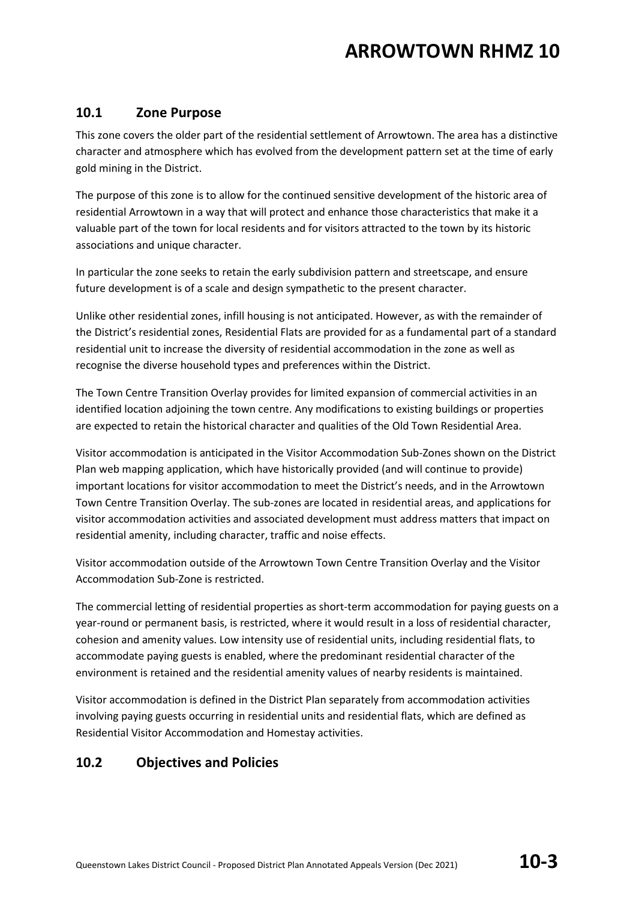#### **10.1 Zone Purpose**

This zone covers the older part of the residential settlement of Arrowtown. The area has a distinctive character and atmosphere which has evolved from the development pattern set at the time of early gold mining in the District.

The purpose of this zone is to allow for the continued sensitive development of the historic area of residential Arrowtown in a way that will protect and enhance those characteristics that make it a valuable part of the town for local residents and for visitors attracted to the town by its historic associations and unique character.

In particular the zone seeks to retain the early subdivision pattern and streetscape, and ensure future development is of a scale and design sympathetic to the present character.

Unlike other residential zones, infill housing is not anticipated. However, as with the remainder of the District's residential zones, Residential Flats are provided for as a fundamental part of a standard residential unit to increase the diversity of residential accommodation in the zone as well as recognise the diverse household types and preferences within the District.

The Town Centre Transition Overlay provides for limited expansion of commercial activities in an identified location adjoining the town centre. Any modifications to existing buildings or properties are expected to retain the historical character and qualities of the Old Town Residential Area.

Visitor accommodation is anticipated in the Visitor Accommodation Sub-Zones shown on the District Plan web mapping application, which have historically provided (and will continue to provide) important locations for visitor accommodation to meet the District's needs, and in the Arrowtown Town Centre Transition Overlay. The sub-zones are located in residential areas, and applications for visitor accommodation activities and associated development must address matters that impact on residential amenity, including character, traffic and noise effects.

Visitor accommodation outside of the Arrowtown Town Centre Transition Overlay and the Visitor Accommodation Sub-Zone is restricted.

The commercial letting of residential properties as short-term accommodation for paying guests on a year-round or permanent basis, is restricted, where it would result in a loss of residential character, cohesion and amenity values. Low intensity use of residential units, including residential flats, to accommodate paying guests is enabled, where the predominant residential character of the environment is retained and the residential amenity values of nearby residents is maintained.

Visitor accommodation is defined in the District Plan separately from accommodation activities involving paying guests occurring in residential units and residential flats, which are defined as Residential Visitor Accommodation and Homestay activities.

#### **10.2 Objectives and Policies**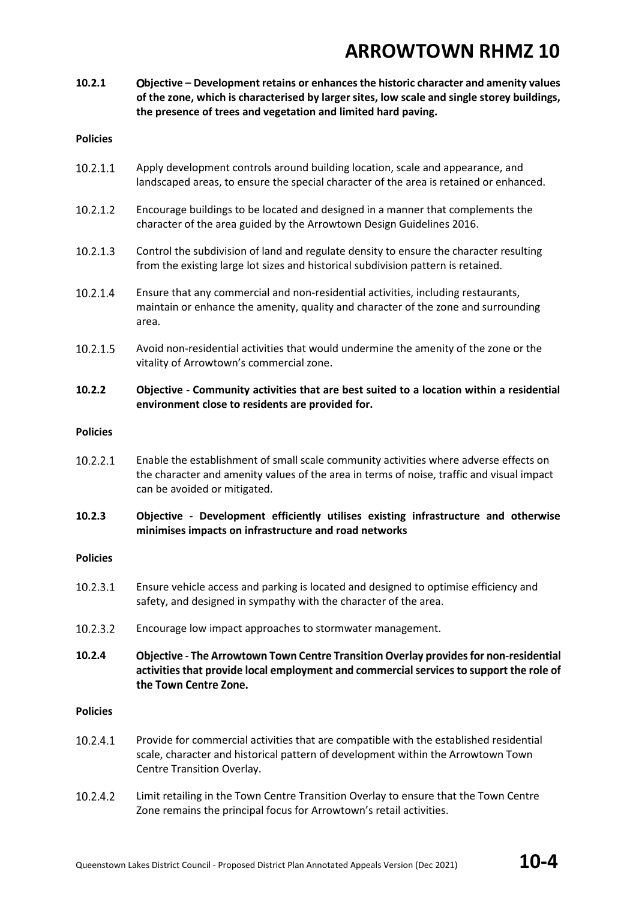**10.2.1 bjective – Development retains or enhances the historic character and amenity values of the zone, which is characterised by larger sites, low scale and single storey buildings, the presence of trees and vegetation and limited hard paving.** 

#### **Policies**

- 10.2.1.1 Apply development controls around building location, scale and appearance, and landscaped areas, to ensure the special character of the area is retained or enhanced.
- 10.2.1.2 Encourage buildings to be located and designed in a manner that complements the character of the area guided by the Arrowtown Design Guidelines 2016.
- 10.2.1.3 Control the subdivision of land and regulate density to ensure the character resulting from the existing large lot sizes and historical subdivision pattern is retained.
- 10.2.1.4 Ensure that any commercial and non-residential activities, including restaurants, maintain or enhance the amenity, quality and character of the zone and surrounding area.
- 10.2.1.5 Avoid non-residential activities that would undermine the amenity of the zone or the vitality of Arrowtown's commercial zone.

#### **10.2.2 Objective - Community activities that are best suited to a location within a residential environment close to residents are provided for.**

#### **Policies**

10.2.2.1 Enable the establishment of small scale community activities where adverse effects on the character and amenity values of the area in terms of noise, traffic and visual impact can be avoided or mitigated.

#### **10.2.3 Objective - Development efficiently utilises existing infrastructure and otherwise minimises impacts on infrastructure and road networks**

#### **Policies**

- 10.2.3.1 Ensure vehicle access and parking is located and designed to optimise efficiency and safety, and designed in sympathy with the character of the area.
- $10.2.3.2$ Encourage low impact approaches to stormwater management.
- **10.2.4** Objective - The Arrowtown Town Centre Transition Overlay provides for non-residential activities that provide local employment and commercial services to support the role of the Town Centre Zone.

#### **Policies**

- 10.2.4.1 Provide for commercial activities that are compatible with the established residential scale, character and historical pattern of development within the Arrowtown Town Centre Transition Overlay.
- 10.2.4.2 Limit retailing in the Town Centre Transition Overlay to ensure that the Town Centre Zone remains the principal focus for Arrowtown's retail activities.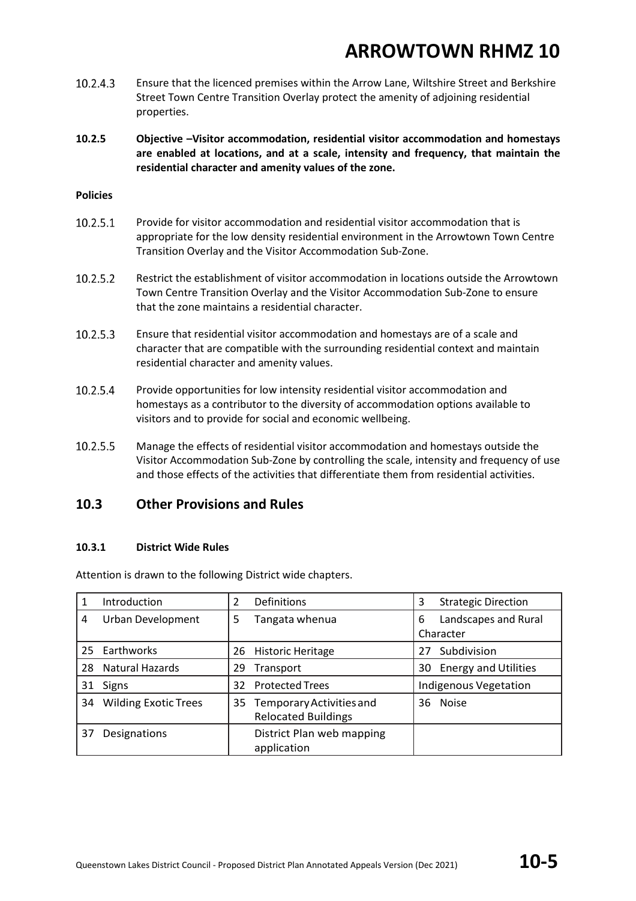- 10.2.4.3 Ensure that the licenced premises within the Arrow Lane, Wiltshire Street and Berkshire Street Town Centre Transition Overlay protect the amenity of adjoining residential properties.
- **10.2.5 Objective –Visitor accommodation, residential visitor accommodation and homestays are enabled at locations, and at a scale, intensity and frequency, that maintain the residential character and amenity values of the zone.**

#### **Policies**

- 10.2.5.1 Provide for visitor accommodation and residential visitor accommodation that is appropriate for the low density residential environment in the Arrowtown Town Centre Transition Overlay and the Visitor Accommodation Sub-Zone.
- 10.2.5.2 Restrict the establishment of visitor accommodation in locations outside the Arrowtown Town Centre Transition Overlay and the Visitor Accommodation Sub-Zone to ensure that the zone maintains a residential character.
- 10.2.5.3 Ensure that residential visitor accommodation and homestays are of a scale and character that are compatible with the surrounding residential context and maintain residential character and amenity values.
- 10.2.5.4 Provide opportunities for low intensity residential visitor accommodation and homestays as a contributor to the diversity of accommodation options available to visitors and to provide for social and economic wellbeing.
- 10.2.5.5 Manage the effects of residential visitor accommodation and homestays outside the Visitor Accommodation Sub-Zone by controlling the scale, intensity and frequency of use and those effects of the activities that differentiate them from residential activities.

#### **10.3 Other Provisions and Rules**

#### **10.3.1 District Wide Rules**

Attention is drawn to the following District wide chapters.

|    | Introduction                |    | Definitions                                               | 3  | <b>Strategic Direction</b>        |
|----|-----------------------------|----|-----------------------------------------------------------|----|-----------------------------------|
| 4  | Urban Development           | 5  | Tangata whenua                                            | 6  | Landscapes and Rural<br>Character |
|    |                             |    |                                                           |    |                                   |
| 25 | Earthworks                  | 26 | <b>Historic Heritage</b>                                  | 27 | Subdivision                       |
| 28 | <b>Natural Hazards</b>      | 29 | Transport                                                 | 30 | <b>Energy and Utilities</b>       |
| 31 | <b>Signs</b>                | 32 | <b>Protected Trees</b>                                    |    | <b>Indigenous Vegetation</b>      |
| 34 | <b>Wilding Exotic Trees</b> |    | 35 Temporary Activities and<br><b>Relocated Buildings</b> |    | 36 Noise                          |
| 37 | Designations                |    | District Plan web mapping<br>application                  |    |                                   |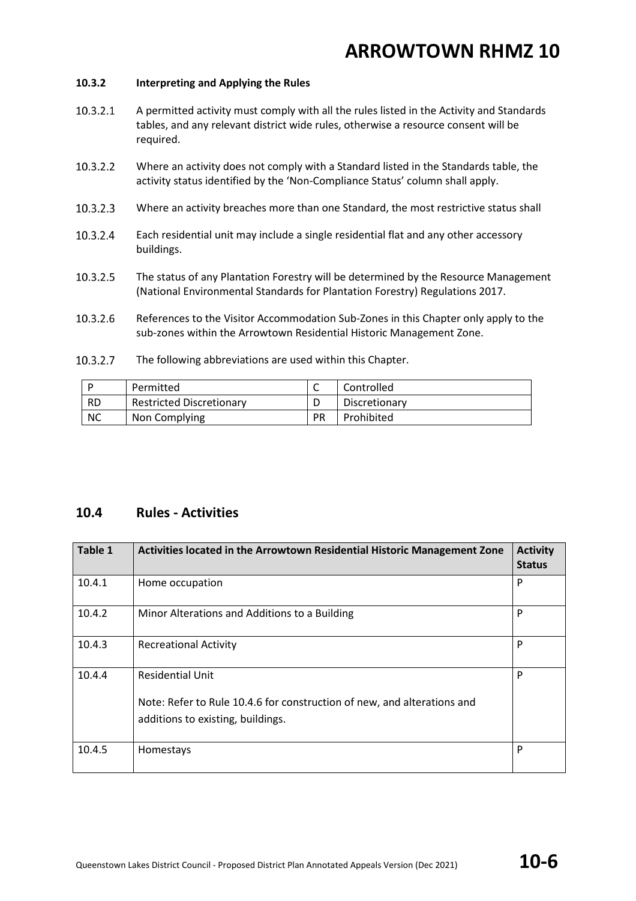#### **10.3.2 Interpreting and Applying the Rules**

- 10.3.2.1 A permitted activity must comply with all the rules listed in the Activity and Standards tables, and any relevant district wide rules, otherwise a resource consent will be required.
- 10.3.2.2 Where an activity does not comply with a Standard listed in the Standards table, the activity status identified by the 'Non-Compliance Status' column shall apply.
- $10.3.2.3$ Where an activity breaches more than one Standard, the most restrictive status shall
- Each residential unit may include a single residential flat and any other accessory 10.3.2.4 buildings.
- 10.3.2.5 The status of any Plantation Forestry will be determined by the Resource Management (National Environmental Standards for Plantation Forestry) Regulations 2017.
- 10.3.2.6 References to the Visitor Accommodation Sub-Zones in this Chapter only apply to the sub-zones within the Arrowtown Residential Historic Management Zone.
- $10.3.2.7$ The following abbreviations are used within this Chapter.

|           | Permitted                       | ∽         | Controlled    |
|-----------|---------------------------------|-----------|---------------|
| <b>RD</b> | <b>Restricted Discretionary</b> |           | Discretionary |
| <b>NC</b> | Non Complying                   | <b>PR</b> | Prohibited    |

#### **10.4 Rules - Activities**

| <b>Table 1</b> | Activities located in the Arrowtown Residential Historic Management Zone                                                                | <b>Activity</b><br><b>Status</b> |
|----------------|-----------------------------------------------------------------------------------------------------------------------------------------|----------------------------------|
| 10.4.1         | Home occupation                                                                                                                         | P                                |
| 10.4.2         | Minor Alterations and Additions to a Building                                                                                           | P                                |
| 10.4.3         | <b>Recreational Activity</b>                                                                                                            | P                                |
| 10.4.4         | <b>Residential Unit</b><br>Note: Refer to Rule 10.4.6 for construction of new, and alterations and<br>additions to existing, buildings. | P                                |
| 10.4.5         | Homestays                                                                                                                               | P                                |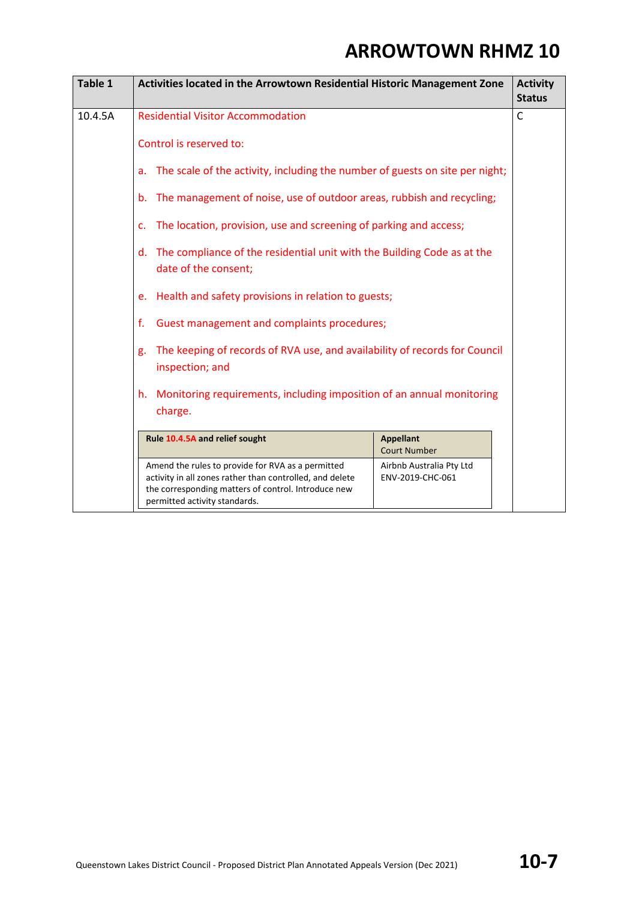| Table 1 | Activities located in the Arrowtown Residential Historic Management Zone                                                                                                                                                                                                                                        |                                              |  |  |
|---------|-----------------------------------------------------------------------------------------------------------------------------------------------------------------------------------------------------------------------------------------------------------------------------------------------------------------|----------------------------------------------|--|--|
| 10.4.5A | <b>Residential Visitor Accommodation</b>                                                                                                                                                                                                                                                                        |                                              |  |  |
|         | Control is reserved to:                                                                                                                                                                                                                                                                                         |                                              |  |  |
|         | The scale of the activity, including the number of guests on site per night;<br>a.                                                                                                                                                                                                                              |                                              |  |  |
|         | The management of noise, use of outdoor areas, rubbish and recycling;<br>b.                                                                                                                                                                                                                                     |                                              |  |  |
|         | The location, provision, use and screening of parking and access;<br>c.                                                                                                                                                                                                                                         |                                              |  |  |
|         | The compliance of the residential unit with the Building Code as at the<br>d.<br>date of the consent;                                                                                                                                                                                                           |                                              |  |  |
|         | Health and safety provisions in relation to guests;<br>e.<br>f.<br>Guest management and complaints procedures;<br>The keeping of records of RVA use, and availability of records for Council<br>g.<br>inspection; and<br>Monitoring requirements, including imposition of an annual monitoring<br>h.<br>charge. |                                              |  |  |
|         |                                                                                                                                                                                                                                                                                                                 |                                              |  |  |
|         |                                                                                                                                                                                                                                                                                                                 |                                              |  |  |
|         |                                                                                                                                                                                                                                                                                                                 |                                              |  |  |
|         | Rule 10.4.5A and relief sought<br><b>Appellant</b><br><b>Court Number</b>                                                                                                                                                                                                                                       |                                              |  |  |
|         | Amend the rules to provide for RVA as a permitted<br>activity in all zones rather than controlled, and delete<br>the corresponding matters of control. Introduce new<br>permitted activity standards.                                                                                                           | Airbnb Australia Pty Ltd<br>ENV-2019-CHC-061 |  |  |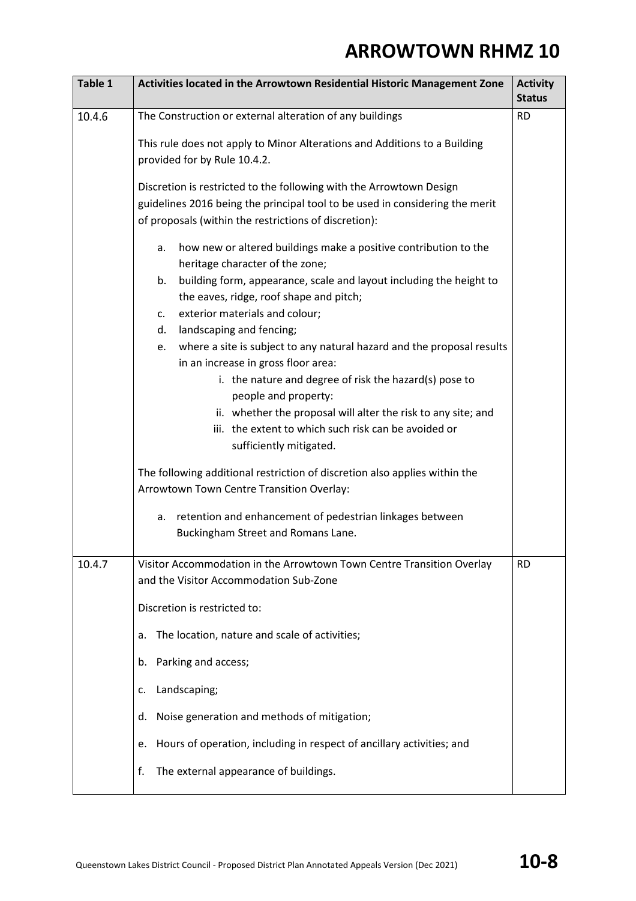| Table 1 | Activities located in the Arrowtown Residential Historic Management Zone                                                                                                                                        | <b>Activity</b><br><b>Status</b> |
|---------|-----------------------------------------------------------------------------------------------------------------------------------------------------------------------------------------------------------------|----------------------------------|
| 10.4.6  | The Construction or external alteration of any buildings                                                                                                                                                        | <b>RD</b>                        |
|         | This rule does not apply to Minor Alterations and Additions to a Building<br>provided for by Rule 10.4.2.                                                                                                       |                                  |
|         | Discretion is restricted to the following with the Arrowtown Design<br>guidelines 2016 being the principal tool to be used in considering the merit<br>of proposals (within the restrictions of discretion):    |                                  |
|         | how new or altered buildings make a positive contribution to the<br>а.<br>heritage character of the zone;                                                                                                       |                                  |
|         | building form, appearance, scale and layout including the height to<br>b.<br>the eaves, ridge, roof shape and pitch;                                                                                            |                                  |
|         | exterior materials and colour;<br>c.                                                                                                                                                                            |                                  |
|         | landscaping and fencing;<br>d.<br>where a site is subject to any natural hazard and the proposal results<br>e.<br>in an increase in gross floor area:<br>i. the nature and degree of risk the hazard(s) pose to |                                  |
|         | people and property:<br>ii. whether the proposal will alter the risk to any site; and                                                                                                                           |                                  |
|         | iii. the extent to which such risk can be avoided or<br>sufficiently mitigated.                                                                                                                                 |                                  |
|         | The following additional restriction of discretion also applies within the<br>Arrowtown Town Centre Transition Overlay:                                                                                         |                                  |
|         | retention and enhancement of pedestrian linkages between<br>а.<br>Buckingham Street and Romans Lane.                                                                                                            |                                  |
| 10.4.7  | Visitor Accommodation in the Arrowtown Town Centre Transition Overlay                                                                                                                                           | <b>RD</b>                        |
|         | and the Visitor Accommodation Sub-Zone                                                                                                                                                                          |                                  |
|         | Discretion is restricted to:                                                                                                                                                                                    |                                  |
|         | The location, nature and scale of activities;<br>a.                                                                                                                                                             |                                  |
|         | Parking and access;<br>b.                                                                                                                                                                                       |                                  |
|         | Landscaping;<br>c.                                                                                                                                                                                              |                                  |
|         | Noise generation and methods of mitigation;<br>d.                                                                                                                                                               |                                  |
|         | Hours of operation, including in respect of ancillary activities; and<br>e.                                                                                                                                     |                                  |
|         | The external appearance of buildings.<br>f.                                                                                                                                                                     |                                  |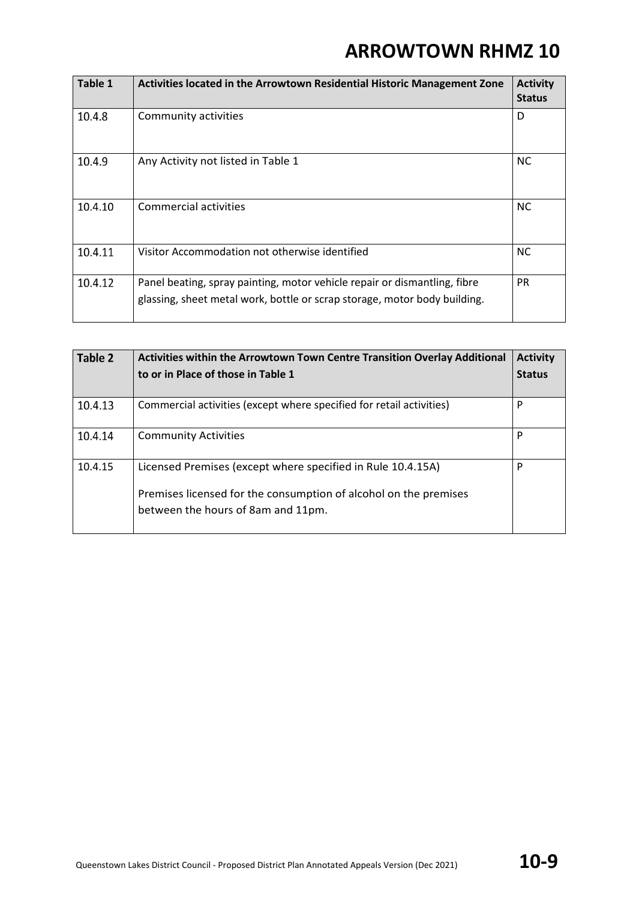| Table 1 | Activities located in the Arrowtown Residential Historic Management Zone                                                                               | <b>Activity</b><br><b>Status</b> |
|---------|--------------------------------------------------------------------------------------------------------------------------------------------------------|----------------------------------|
| 10.4.8  | Community activities                                                                                                                                   | D                                |
| 10.4.9  | Any Activity not listed in Table 1                                                                                                                     | <b>NC</b>                        |
| 10.4.10 | <b>Commercial activities</b>                                                                                                                           | <b>NC</b>                        |
| 10.4.11 | Visitor Accommodation not otherwise identified                                                                                                         | <b>NC</b>                        |
| 10.4.12 | Panel beating, spray painting, motor vehicle repair or dismantling, fibre<br>glassing, sheet metal work, bottle or scrap storage, motor body building. | <b>PR</b>                        |

| Table 2 | Activities within the Arrowtown Town Centre Transition Overlay Additional<br>to or in Place of those in Table 1                                                       | <b>Activity</b><br><b>Status</b> |
|---------|-----------------------------------------------------------------------------------------------------------------------------------------------------------------------|----------------------------------|
| 10.4.13 | Commercial activities (except where specified for retail activities)                                                                                                  | P                                |
| 10.4.14 | <b>Community Activities</b>                                                                                                                                           | P                                |
| 10.4.15 | Licensed Premises (except where specified in Rule 10.4.15A)<br>Premises licensed for the consumption of alcohol on the premises<br>between the hours of 8am and 11pm. | P                                |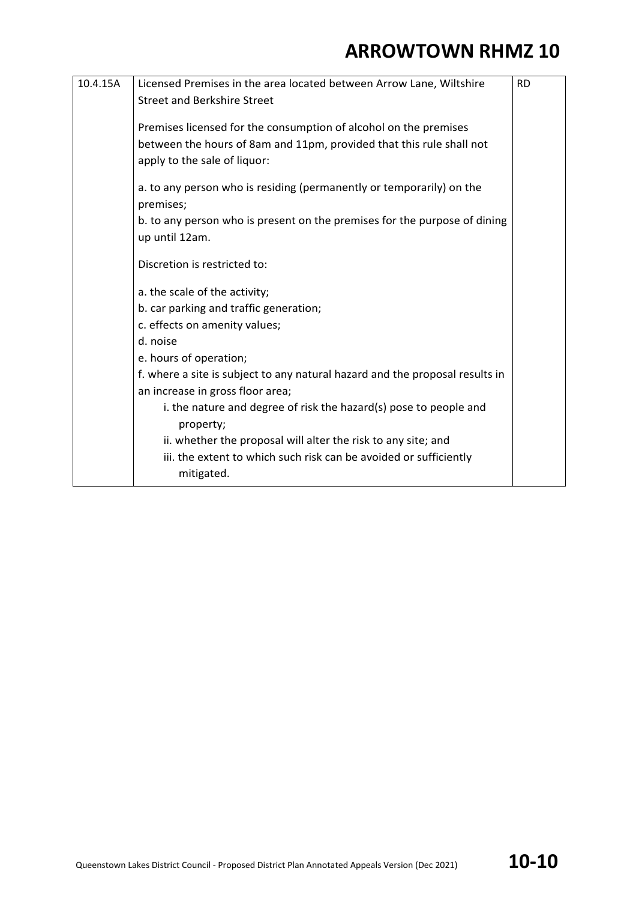| 10.4.15A | Licensed Premises in the area located between Arrow Lane, Wiltshire            | <b>RD</b> |
|----------|--------------------------------------------------------------------------------|-----------|
|          | <b>Street and Berkshire Street</b>                                             |           |
|          |                                                                                |           |
|          | Premises licensed for the consumption of alcohol on the premises               |           |
|          | between the hours of 8am and 11pm, provided that this rule shall not           |           |
|          | apply to the sale of liquor:                                                   |           |
|          |                                                                                |           |
|          | a. to any person who is residing (permanently or temporarily) on the           |           |
|          | premises;                                                                      |           |
|          | b. to any person who is present on the premises for the purpose of dining      |           |
|          | up until 12am.                                                                 |           |
|          | Discretion is restricted to:                                                   |           |
|          | a. the scale of the activity;                                                  |           |
|          | b. car parking and traffic generation;                                         |           |
|          | c. effects on amenity values;                                                  |           |
|          | d. noise                                                                       |           |
|          | e. hours of operation;                                                         |           |
|          | f. where a site is subject to any natural hazard and the proposal results in   |           |
|          | an increase in gross floor area;                                               |           |
|          | i. the nature and degree of risk the hazard(s) pose to people and<br>property; |           |
|          | ii. whether the proposal will alter the risk to any site; and                  |           |
|          | iii. the extent to which such risk can be avoided or sufficiently              |           |
|          | mitigated.                                                                     |           |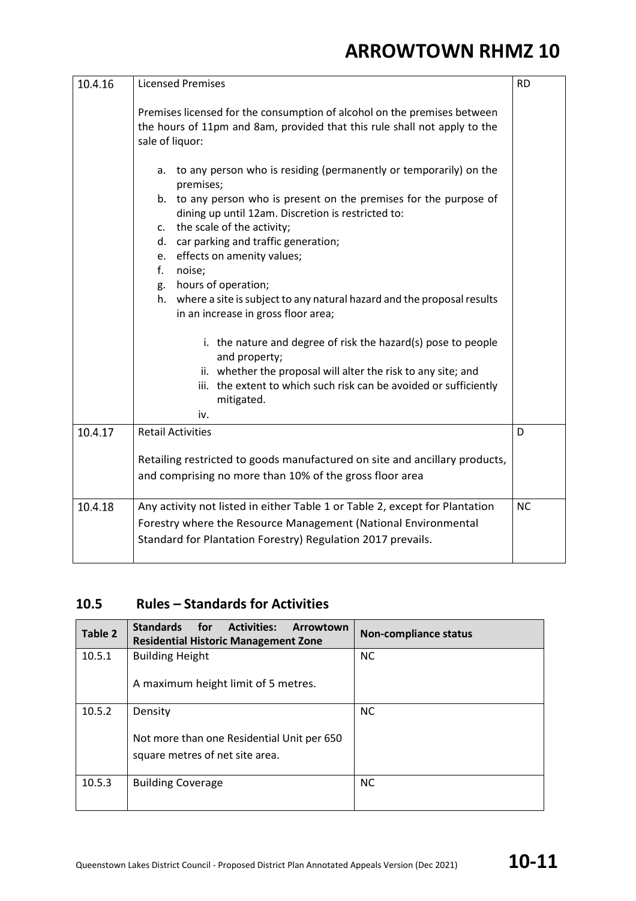| 10.4.16 | <b>Licensed Premises</b>                                                                                                                                                 | <b>RD</b> |
|---------|--------------------------------------------------------------------------------------------------------------------------------------------------------------------------|-----------|
|         | Premises licensed for the consumption of alcohol on the premises between<br>the hours of 11pm and 8am, provided that this rule shall not apply to the<br>sale of liquor: |           |
|         | a. to any person who is residing (permanently or temporarily) on the<br>premises;<br>b. to any person who is present on the premises for the purpose of                  |           |
|         | dining up until 12am. Discretion is restricted to:<br>c. the scale of the activity;                                                                                      |           |
|         | d. car parking and traffic generation;                                                                                                                                   |           |
|         | e. effects on amenity values;                                                                                                                                            |           |
|         | f.<br>noise;<br>g. hours of operation;                                                                                                                                   |           |
|         | h. where a site is subject to any natural hazard and the proposal results<br>in an increase in gross floor area;                                                         |           |
|         | i. the nature and degree of risk the hazard(s) pose to people<br>and property;                                                                                           |           |
|         | ii. whether the proposal will alter the risk to any site; and                                                                                                            |           |
|         | iii. the extent to which such risk can be avoided or sufficiently<br>mitigated.                                                                                          |           |
|         | iv.                                                                                                                                                                      |           |
| 10.4.17 | <b>Retail Activities</b>                                                                                                                                                 | D         |
|         | Retailing restricted to goods manufactured on site and ancillary products,                                                                                               |           |
|         | and comprising no more than 10% of the gross floor area                                                                                                                  |           |
| 10.4.18 | Any activity not listed in either Table 1 or Table 2, except for Plantation                                                                                              | <b>NC</b> |
|         | Forestry where the Resource Management (National Environmental                                                                                                           |           |
|         | Standard for Plantation Forestry) Regulation 2017 prevails.                                                                                                              |           |

#### **10.5 Rules – Standards for Activities**

| Table 2 | Standards for<br><b>Activities:</b><br>Arrowtown<br><b>Residential Historic Management Zone</b> | <b>Non-compliance status</b> |
|---------|-------------------------------------------------------------------------------------------------|------------------------------|
| 10.5.1  | <b>Building Height</b>                                                                          | <b>NC</b>                    |
|         | A maximum height limit of 5 metres.                                                             |                              |
| 10.5.2  | Density                                                                                         | <b>NC</b>                    |
|         | Not more than one Residential Unit per 650<br>square metres of net site area.                   |                              |
| 10.5.3  | <b>Building Coverage</b>                                                                        | <b>NC</b>                    |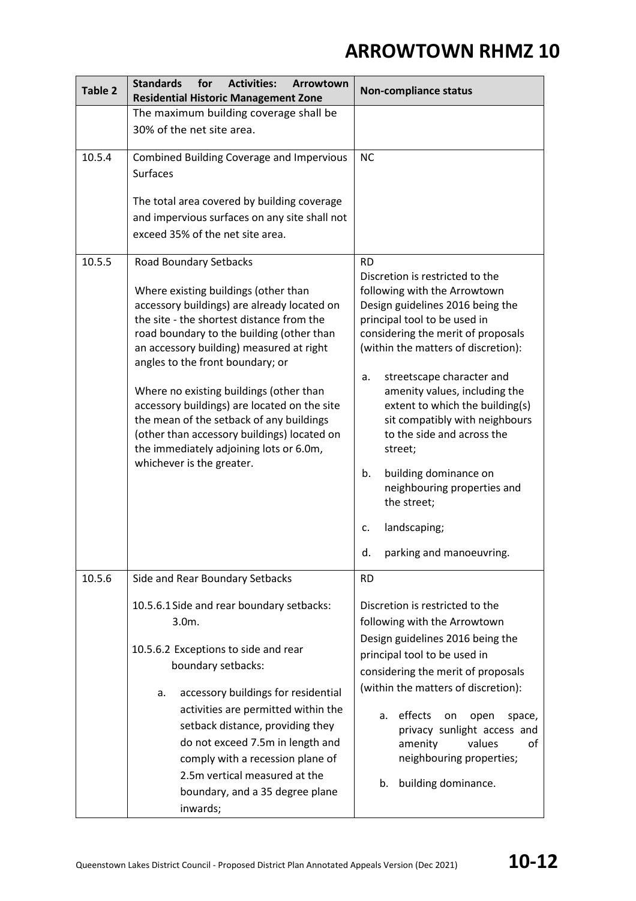| Table 2 | <b>Standards</b><br>for<br><b>Activities:</b><br>Arrowtown<br><b>Residential Historic Management Zone</b>                                                                                                                                                                                                                                                                                                                                                                                                                                             | <b>Non-compliance status</b>                                                                                                                                                                                                                                                                                                                                                                                                                                                                                                                         |
|---------|-------------------------------------------------------------------------------------------------------------------------------------------------------------------------------------------------------------------------------------------------------------------------------------------------------------------------------------------------------------------------------------------------------------------------------------------------------------------------------------------------------------------------------------------------------|------------------------------------------------------------------------------------------------------------------------------------------------------------------------------------------------------------------------------------------------------------------------------------------------------------------------------------------------------------------------------------------------------------------------------------------------------------------------------------------------------------------------------------------------------|
|         | The maximum building coverage shall be<br>30% of the net site area.                                                                                                                                                                                                                                                                                                                                                                                                                                                                                   |                                                                                                                                                                                                                                                                                                                                                                                                                                                                                                                                                      |
| 10.5.4  | Combined Building Coverage and Impervious<br><b>Surfaces</b><br>The total area covered by building coverage<br>and impervious surfaces on any site shall not<br>exceed 35% of the net site area.                                                                                                                                                                                                                                                                                                                                                      | <b>NC</b>                                                                                                                                                                                                                                                                                                                                                                                                                                                                                                                                            |
| 10.5.5  | Road Boundary Setbacks<br>Where existing buildings (other than<br>accessory buildings) are already located on<br>the site - the shortest distance from the<br>road boundary to the building (other than<br>an accessory building) measured at right<br>angles to the front boundary; or<br>Where no existing buildings (other than<br>accessory buildings) are located on the site<br>the mean of the setback of any buildings<br>(other than accessory buildings) located on<br>the immediately adjoining lots or 6.0m,<br>whichever is the greater. | <b>RD</b><br>Discretion is restricted to the<br>following with the Arrowtown<br>Design guidelines 2016 being the<br>principal tool to be used in<br>considering the merit of proposals<br>(within the matters of discretion):<br>streetscape character and<br>a.<br>amenity values, including the<br>extent to which the building(s)<br>sit compatibly with neighbours<br>to the side and across the<br>street;<br>building dominance on<br>b.<br>neighbouring properties and<br>the street;<br>landscaping;<br>c.<br>parking and manoeuvring.<br>d. |
| 10.5.6  | Side and Rear Boundary Setbacks<br>10.5.6.1 Side and rear boundary setbacks:<br>$3.0m$ .<br>10.5.6.2 Exceptions to side and rear<br>boundary setbacks:<br>accessory buildings for residential<br>a.<br>activities are permitted within the<br>setback distance, providing they<br>do not exceed 7.5m in length and<br>comply with a recession plane of<br>2.5m vertical measured at the<br>boundary, and a 35 degree plane<br>inwards;                                                                                                                | <b>RD</b><br>Discretion is restricted to the<br>following with the Arrowtown<br>Design guidelines 2016 being the<br>principal tool to be used in<br>considering the merit of proposals<br>(within the matters of discretion):<br>effects<br>on<br>open<br>space,<br>a.<br>privacy sunlight access and<br>values<br>amenity<br>οf<br>neighbouring properties;<br>building dominance.<br>b.                                                                                                                                                            |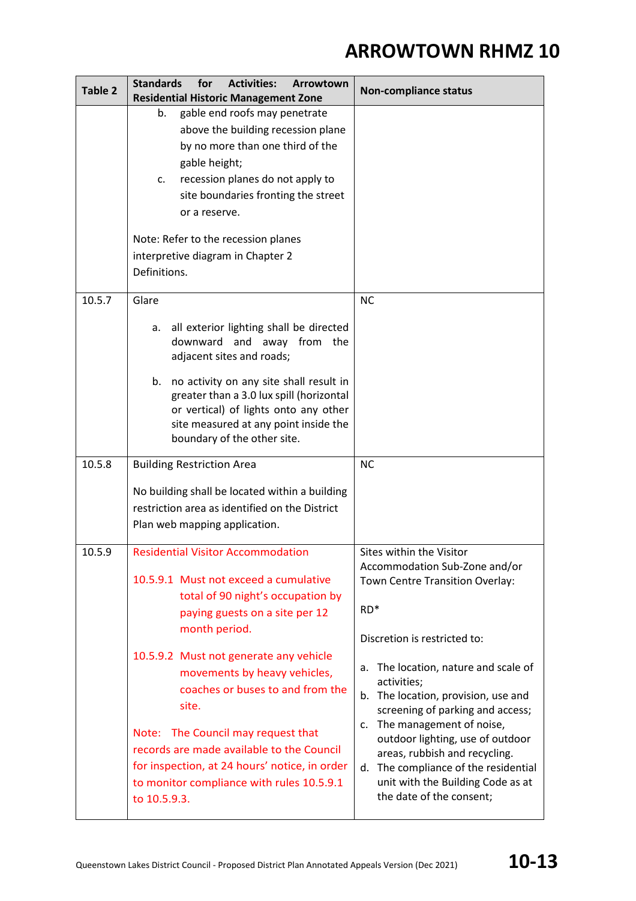| <b>Table 2</b> | <b>Standards</b><br>for<br><b>Activities:</b><br>Arrowtown                                                                                                                                                                                                                 | <b>Non-compliance status</b>                                                                                                                                                                                                                                                                                                                                     |
|----------------|----------------------------------------------------------------------------------------------------------------------------------------------------------------------------------------------------------------------------------------------------------------------------|------------------------------------------------------------------------------------------------------------------------------------------------------------------------------------------------------------------------------------------------------------------------------------------------------------------------------------------------------------------|
|                | <b>Residential Historic Management Zone</b><br>gable end roofs may penetrate<br>b.                                                                                                                                                                                         |                                                                                                                                                                                                                                                                                                                                                                  |
|                | above the building recession plane<br>by no more than one third of the<br>gable height;<br>recession planes do not apply to<br>c.<br>site boundaries fronting the street<br>or a reserve.<br>Note: Refer to the recession planes<br>interpretive diagram in Chapter 2      |                                                                                                                                                                                                                                                                                                                                                                  |
|                | Definitions.                                                                                                                                                                                                                                                               |                                                                                                                                                                                                                                                                                                                                                                  |
| 10.5.7         | Glare<br>all exterior lighting shall be directed<br>а.                                                                                                                                                                                                                     | <b>NC</b>                                                                                                                                                                                                                                                                                                                                                        |
|                | downward and away from the<br>adjacent sites and roads;<br>b. no activity on any site shall result in<br>greater than a 3.0 lux spill (horizontal<br>or vertical) of lights onto any other<br>site measured at any point inside the<br>boundary of the other site.         |                                                                                                                                                                                                                                                                                                                                                                  |
| 10.5.8         | <b>Building Restriction Area</b>                                                                                                                                                                                                                                           | <b>NC</b>                                                                                                                                                                                                                                                                                                                                                        |
|                | No building shall be located within a building<br>restriction area as identified on the District<br>Plan web mapping application.                                                                                                                                          |                                                                                                                                                                                                                                                                                                                                                                  |
| 10.5.9         | <b>Residential Visitor Accommodation</b><br>10.5.9.1 Must not exceed a cumulative<br>total of 90 night's occupation by<br>paying guests on a site per 12<br>month period.<br>10.5.9.2 Must not generate any vehicle                                                        | Sites within the Visitor<br>Accommodation Sub-Zone and/or<br>Town Centre Transition Overlay:<br>$RD*$<br>Discretion is restricted to:                                                                                                                                                                                                                            |
|                | movements by heavy vehicles,<br>coaches or buses to and from the<br>site.<br>Note: The Council may request that<br>records are made available to the Council<br>for inspection, at 24 hours' notice, in order<br>to monitor compliance with rules 10.5.9.1<br>to 10.5.9.3. | The location, nature and scale of<br>a.<br>activities;<br>b. The location, provision, use and<br>screening of parking and access;<br>The management of noise,<br>$\mathsf{C}$ .<br>outdoor lighting, use of outdoor<br>areas, rubbish and recycling.<br>The compliance of the residential<br>d.<br>unit with the Building Code as at<br>the date of the consent; |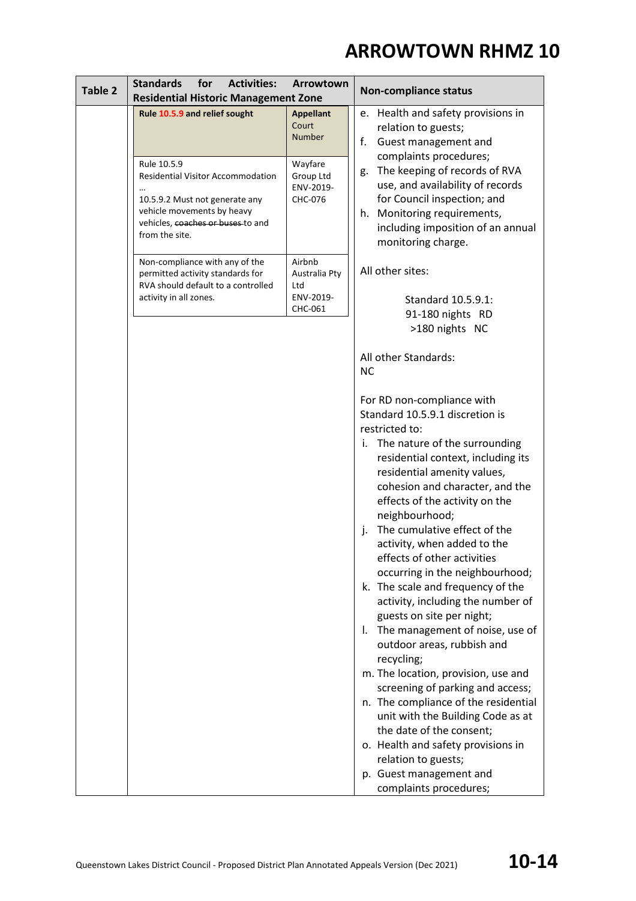| Table 2                                     | <b>Standards</b><br>for<br><b>Activities:</b>                                                                                                                                  | Arrowtown                                    | <b>Non-compliance status</b>                                                                                                                                                                                               |
|---------------------------------------------|--------------------------------------------------------------------------------------------------------------------------------------------------------------------------------|----------------------------------------------|----------------------------------------------------------------------------------------------------------------------------------------------------------------------------------------------------------------------------|
| <b>Residential Historic Management Zone</b> |                                                                                                                                                                                |                                              |                                                                                                                                                                                                                            |
|                                             | Rule 10.5.9 and relief sought                                                                                                                                                  | <b>Appellant</b><br>Court<br><b>Number</b>   | e. Health and safety provisions in<br>relation to guests;<br>f.<br>Guest management and                                                                                                                                    |
|                                             | Rule 10.5.9<br><b>Residential Visitor Accommodation</b><br>10.5.9.2 Must not generate any<br>vehicle movements by heavy<br>vehicles, coaches or buses to and<br>from the site. | Wayfare<br>Group Ltd<br>ENV-2019-<br>CHC-076 | complaints procedures;<br>The keeping of records of RVA<br>g.<br>use, and availability of records<br>for Council inspection; and<br>h. Monitoring requirements,<br>including imposition of an annual<br>monitoring charge. |
|                                             | Non-compliance with any of the<br>permitted activity standards for<br>RVA should default to a controlled<br>activity in all zones.                                             | Airbnb<br>Australia Pty<br>Ltd<br>ENV-2019-  | All other sites:                                                                                                                                                                                                           |
|                                             |                                                                                                                                                                                | CHC-061                                      | Standard 10.5.9.1:<br>91-180 nights RD<br>>180 nights NC                                                                                                                                                                   |
|                                             |                                                                                                                                                                                |                                              | All other Standards:<br><b>NC</b>                                                                                                                                                                                          |
|                                             |                                                                                                                                                                                |                                              | For RD non-compliance with<br>Standard 10.5.9.1 discretion is<br>restricted to:<br>The nature of the surrounding<br>İ.<br>residential context, including its                                                               |
|                                             |                                                                                                                                                                                |                                              | residential amenity values,<br>cohesion and character, and the<br>effects of the activity on the<br>neighbourhood;<br>The cumulative effect of the<br>j.<br>activity, when added to the<br>effects of other activities     |
|                                             |                                                                                                                                                                                |                                              | occurring in the neighbourhood;<br>k. The scale and frequency of the<br>activity, including the number of<br>guests on site per night;<br>The management of noise, use of<br>$\mathbf{L}$<br>outdoor areas, rubbish and    |
|                                             |                                                                                                                                                                                |                                              | recycling;<br>m. The location, provision, use and<br>screening of parking and access;<br>n. The compliance of the residential<br>unit with the Building Code as at<br>the date of the consent;                             |
|                                             |                                                                                                                                                                                |                                              | o. Health and safety provisions in<br>relation to guests;<br>p. Guest management and<br>complaints procedures;                                                                                                             |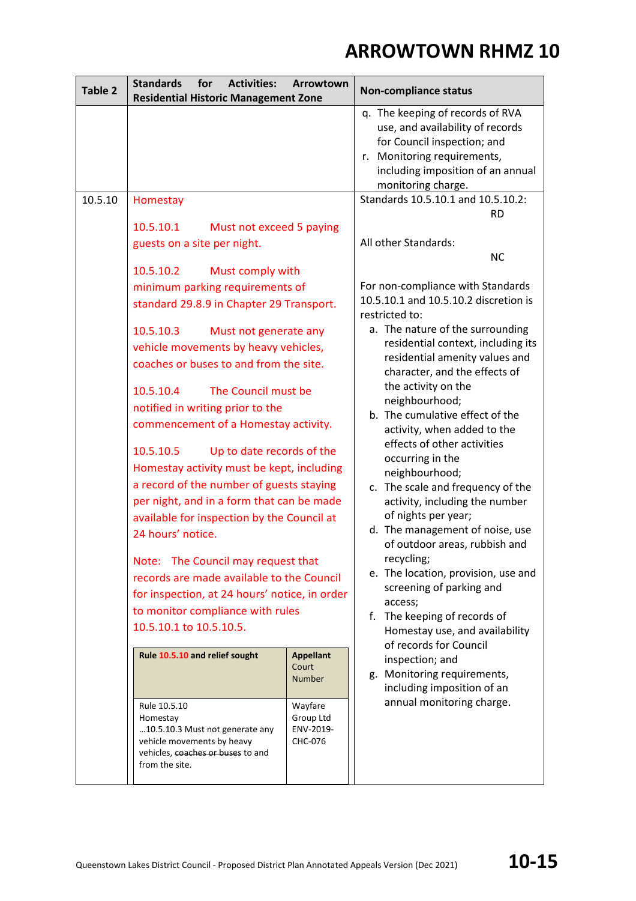| Table 2 | <b>Standards</b><br>for<br><b>Activities:</b><br><b>Residential Historic Management Zone</b>                                                                                                                                                    | Arrowtown                                    | <b>Non-compliance status</b>                                                                                                                                                                                          |
|---------|-------------------------------------------------------------------------------------------------------------------------------------------------------------------------------------------------------------------------------------------------|----------------------------------------------|-----------------------------------------------------------------------------------------------------------------------------------------------------------------------------------------------------------------------|
|         |                                                                                                                                                                                                                                                 |                                              | q. The keeping of records of RVA<br>use, and availability of records<br>for Council inspection; and<br>r. Monitoring requirements,<br>including imposition of an annual<br>monitoring charge.                         |
| 10.5.10 | Homestay<br>10.5.10.1<br>Must not exceed 5 paying                                                                                                                                                                                               |                                              | Standards 10.5.10.1 and 10.5.10.2:<br><b>RD</b>                                                                                                                                                                       |
|         | guests on a site per night.                                                                                                                                                                                                                     |                                              | All other Standards:<br><b>NC</b>                                                                                                                                                                                     |
|         | 10.5.10.2<br>Must comply with<br>minimum parking requirements of                                                                                                                                                                                |                                              | For non-compliance with Standards<br>10.5.10.1 and 10.5.10.2 discretion is                                                                                                                                            |
|         | standard 29.8.9 in Chapter 29 Transport.                                                                                                                                                                                                        |                                              | restricted to:<br>a. The nature of the surrounding                                                                                                                                                                    |
|         | 10.5.10.3<br>Must not generate any<br>vehicle movements by heavy vehicles,<br>coaches or buses to and from the site.                                                                                                                            |                                              | residential context, including its<br>residential amenity values and<br>character, and the effects of                                                                                                                 |
|         | 10.5.10.4<br>The Council must be<br>notified in writing prior to the<br>commencement of a Homestay activity.                                                                                                                                    |                                              | the activity on the<br>neighbourhood;<br>b. The cumulative effect of the<br>activity, when added to the<br>effects of other activities                                                                                |
|         | 10.5.10.5<br>Up to date records of the<br>Homestay activity must be kept, including<br>a record of the number of guests staying<br>per night, and in a form that can be made<br>available for inspection by the Council at<br>24 hours' notice. |                                              | occurring in the<br>neighbourhood;<br>c. The scale and frequency of the<br>activity, including the number<br>of nights per year;<br>d. The management of noise, use                                                   |
|         | Note: The Council may request that<br>records are made available to the Council<br>for inspection, at 24 hours' notice, in order<br>to monitor compliance with rules<br>10.5.10.1 to 10.5.10.5.                                                 |                                              | of outdoor areas, rubbish and<br>recycling;<br>e. The location, provision, use and<br>screening of parking and<br>access;<br>f. The keeping of records of<br>Homestay use, and availability<br>of records for Council |
|         | Rule 10.5.10 and relief sought                                                                                                                                                                                                                  | <b>Appellant</b><br>Court<br><b>Number</b>   | inspection; and<br>g. Monitoring requirements,<br>including imposition of an                                                                                                                                          |
|         | Rule 10.5.10<br>Homestay<br>10.5.10.3 Must not generate any<br>vehicle movements by heavy<br>vehicles, coaches or buses to and<br>from the site.                                                                                                | Wayfare<br>Group Ltd<br>ENV-2019-<br>CHC-076 | annual monitoring charge.                                                                                                                                                                                             |